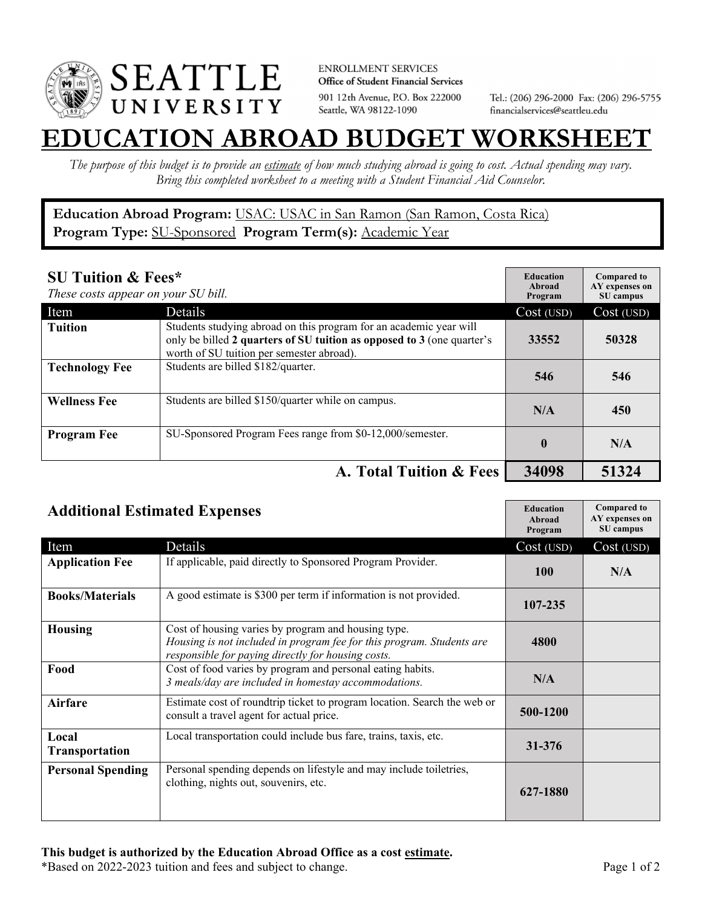

**ENROLLMENT SERVICES** Office of Student Financial Services 901 12th Avenue, P.O. Box 222000 Seattle, WA 98122-1090

Tel.: (206) 296-2000 Fax: (206) 296-5755 financialservices@seattleu.edu

## **EATION ABROAD BUDGET WORKSHEE**

*The purpose of this budget is to provide an estimate of how much studying abroad is going to cost. Actual spending may vary. Bring this completed worksheet to a meeting with a Student Financial Aid Counselor.* 

**Education Abroad Program:** USAC: USAC in San Ramon (San Ramon, Costa Rica) Program Type: **SU-Sponsored** Program Term(s): **Academic Year** 

| <b>SU Tuition &amp; Fees*</b><br>These costs appear on your SU bill. |                                                                                                                                                                                           | <b>Education</b><br>Abroad<br>Program | <b>Compared to</b><br>AY expenses on<br>SU campus |
|----------------------------------------------------------------------|-------------------------------------------------------------------------------------------------------------------------------------------------------------------------------------------|---------------------------------------|---------------------------------------------------|
| Item                                                                 | <b>Details</b>                                                                                                                                                                            | Cost (USD)                            | Cost (USD)                                        |
| <b>Tuition</b>                                                       | Students studying abroad on this program for an academic year will<br>only be billed 2 quarters of SU tuition as opposed to 3 (one quarter's<br>worth of SU tuition per semester abroad). | 33552                                 | 50328                                             |
| <b>Technology Fee</b>                                                | Students are billed \$182/quarter.                                                                                                                                                        | 546                                   | 546                                               |
| <b>Wellness Fee</b>                                                  | Students are billed \$150/quarter while on campus.                                                                                                                                        | N/A                                   | 450                                               |
| <b>Program Fee</b>                                                   | SU-Sponsored Program Fees range from \$0-12,000/semester.                                                                                                                                 | $\mathbf{0}$                          | N/A                                               |
|                                                                      | A. Total Tuition & Fees                                                                                                                                                                   | 34098                                 | 51324                                             |

| <b>Additional Estimated Expenses</b> |                                                                                                                                                                                    | <b>Education</b><br>Abroad<br>Program | <b>Compared to</b><br>AY expenses on<br>SU campus |
|--------------------------------------|------------------------------------------------------------------------------------------------------------------------------------------------------------------------------------|---------------------------------------|---------------------------------------------------|
| Item                                 | Details                                                                                                                                                                            | Cost (USD)                            | Cost (USD)                                        |
| <b>Application Fee</b>               | If applicable, paid directly to Sponsored Program Provider.                                                                                                                        | <b>100</b>                            | N/A                                               |
| <b>Books/Materials</b>               | A good estimate is \$300 per term if information is not provided.                                                                                                                  | 107-235                               |                                                   |
| <b>Housing</b>                       | Cost of housing varies by program and housing type.<br>Housing is not included in program fee for this program. Students are<br>responsible for paying directly for housing costs. | 4800                                  |                                                   |
| Food                                 | Cost of food varies by program and personal eating habits.<br>3 meals/day are included in homestay accommodations.                                                                 | N/A                                   |                                                   |
| <b>Airfare</b>                       | Estimate cost of roundtrip ticket to program location. Search the web or<br>consult a travel agent for actual price.                                                               | 500-1200                              |                                                   |
| Local<br>Transportation              | Local transportation could include bus fare, trains, taxis, etc.                                                                                                                   | 31-376                                |                                                   |
| <b>Personal Spending</b>             | Personal spending depends on lifestyle and may include toiletries,<br>clothing, nights out, souvenirs, etc.                                                                        | 627-1880                              |                                                   |

\*Based on 2022-2023 tuition and fees and subject to change. Page 1 of 2